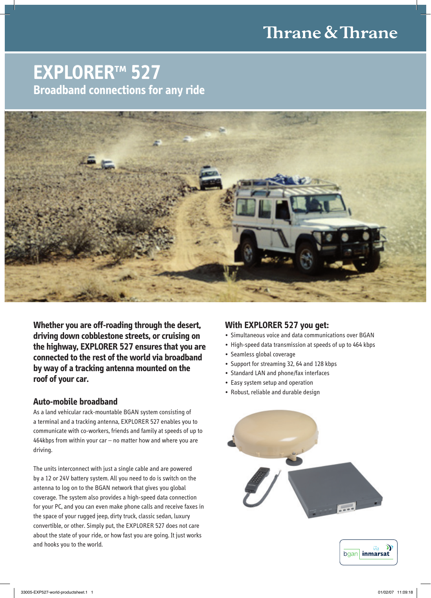# Thrane & Thrane

## **EXPLORER™ 527 Broadband connections for any ride**



**Whether you are off-roading through the desert, driving down cobblestone streets, or cruising on the highway, EXPLORER 527 ensures that you are connected to the rest of the world via broadband by way of a tracking antenna mounted on the roof of your car.** 

#### **Auto-mobile broadband**

As a land vehicular rack-mountable BGAN system consisting of a terminal and a tracking antenna, EXPLORER 527 enables you to communicate with co-workers, friends and family at speeds of up to 464kbps from within your car – no matter how and where you are driving.

The units interconnect with just a single cable and are powered by a 12 or 24V battery system. All you need to do is switch on the antenna to log on to the BGAN network that gives you global coverage. The system also provides a high-speed data connection for your PC, and you can even make phone calls and receive faxes in the space of your rugged jeep, dirty truck, classic sedan, luxury convertible, or other. Simply put, the EXPLORER 527 does not care about the state of your ride, or how fast you are going. It just works and hooks you to the world.

#### **With EXPLORER 527 you get:**

- Simultaneous voice and data communications over BGAN
- High-speed data transmission at speeds of up to 464 kbps
- Seamless global coverage
- Support for streaming 32, 64 and 128 kbps
- Standard LAN and phone/fax interfaces
- Easy system setup and operation
- Robust, reliable and durable design